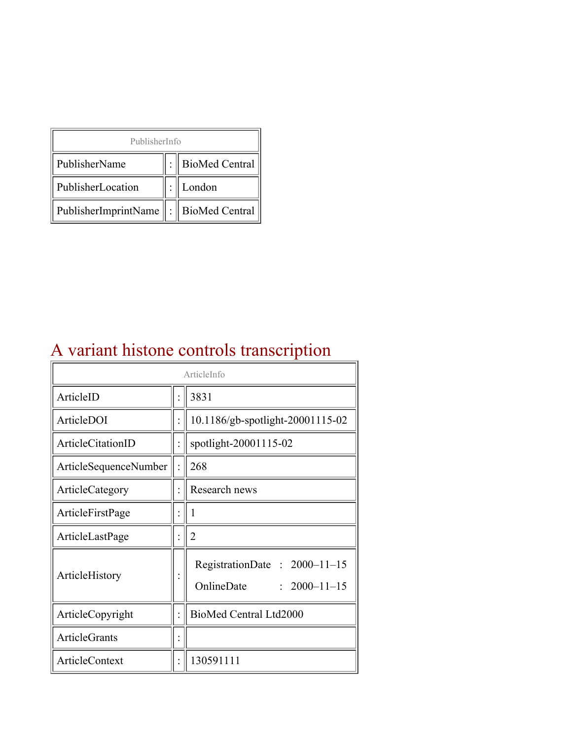| PublisherInfo                                   |  |                    |  |  |
|-------------------------------------------------|--|--------------------|--|--|
| PublisherName                                   |  | :   BioMed Central |  |  |
| PublisherLocation                               |  | London             |  |  |
| PublisherImprintName $\ \cdot\ $ BioMed Central |  |                    |  |  |

## A variant histone controls transcription

| ArticleInfo              |  |                                                                  |
|--------------------------|--|------------------------------------------------------------------|
| ArticleID                |  | 3831                                                             |
| ArticleDOI               |  | 10.1186/gb-spotlight-20001115-02                                 |
| <b>ArticleCitationID</b> |  | spotlight-20001115-02                                            |
| ArticleSequenceNumber    |  | 268                                                              |
| ArticleCategory          |  | Research news                                                    |
| ArticleFirstPage         |  | 1                                                                |
| ArticleLastPage          |  | $\overline{2}$                                                   |
| ArticleHistory           |  | RegistrationDate: 2000-11-15<br>OnlineDate<br>$: 2000 - 11 - 15$ |
| ArticleCopyright         |  | BioMed Central Ltd2000                                           |
| <b>ArticleGrants</b>     |  |                                                                  |
| ArticleContext           |  | 130591111                                                        |